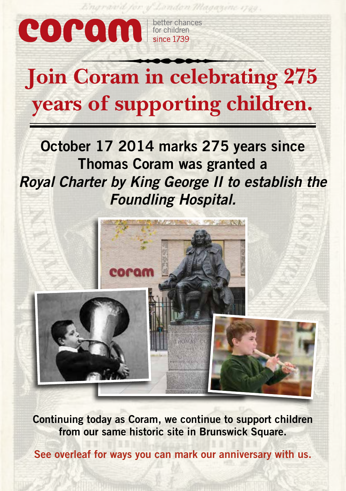

and for y London Magazine 1720.

# **Join Coram in celebrating 275 years of supporting children.**

**October 17 2014 marks 275 years since Thomas Coram was granted a**  *Royal Charter by King George II to establish the Foundling Hospital.*



**Continuing today as Coram, we continue to support children from our same historic site in Brunswick Square.**

**See overleaf for ways you can mark our anniversary with us.**